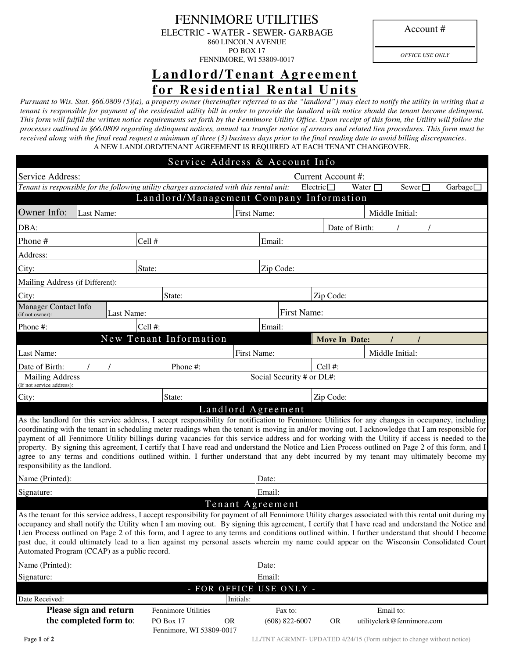Account #

## FENNIMORE UTILITIES ELECTRIC - WATER - SEWER- GARBAGE

860 LINCOLN AVENUE PO BOX 17

FENNIMORE, WI 53809-0017

*OFFICE USE ONLY* 

# Landlord/Tenant Agreement **for Residential Rental Units**

*Pursuant to Wis. Stat. §66.0809 (5)(a), a property owner (hereinafter referred to as the "landlord") may elect to notify the utility in writing that a tenant is responsible for payment of the residential utility bill in order to provide the landlord with notice should the tenant become delinquent.*  This form will fulfill the written notice requirements set forth by the Fennimore Utility Office. Upon receipt of this form, the Utility will follow the *processes outlined in §66.0809 regarding delinquent notices, annual tax transfer notice of arrears and related lien procedures. This form must be received along with the final read request a minimum of three (3) business days prior to the final reading date to avoid billing discrepancies*. A NEW LANDLORD/TENANT AGREEMENT IS REQUIRED AT EACH TENANT CHANGEOVER.

| Service Address & Account Info                                                                                                                                                                                                                                                                                                                                                                                                                                                                                                                                                                                                                                                                                                                                                            |            |                                                  |                                                                     |                         |                             |                    |                      |                |                 |                            |  |          |  |
|-------------------------------------------------------------------------------------------------------------------------------------------------------------------------------------------------------------------------------------------------------------------------------------------------------------------------------------------------------------------------------------------------------------------------------------------------------------------------------------------------------------------------------------------------------------------------------------------------------------------------------------------------------------------------------------------------------------------------------------------------------------------------------------------|------------|--------------------------------------------------|---------------------------------------------------------------------|-------------------------|-----------------------------|--------------------|----------------------|----------------|-----------------|----------------------------|--|----------|--|
| Service Address:<br>Current Account #:                                                                                                                                                                                                                                                                                                                                                                                                                                                                                                                                                                                                                                                                                                                                                    |            |                                                  |                                                                     |                         |                             |                    |                      |                |                 |                            |  |          |  |
| Tenant is responsible for the following utility charges associated with this rental unit:                                                                                                                                                                                                                                                                                                                                                                                                                                                                                                                                                                                                                                                                                                 |            |                                                  |                                                                     |                         |                             | Electric $\square$ |                      | Water $\Box$   |                 | Sewer $\square$            |  | Garbage□ |  |
|                                                                                                                                                                                                                                                                                                                                                                                                                                                                                                                                                                                                                                                                                                                                                                                           |            |                                                  | Landlord/Management Company Information                             |                         |                             |                    |                      |                |                 |                            |  |          |  |
| Owner Info:                                                                                                                                                                                                                                                                                                                                                                                                                                                                                                                                                                                                                                                                                                                                                                               | Last Name: |                                                  | First Name:<br>Middle Initial:                                      |                         |                             |                    |                      |                |                 |                            |  |          |  |
| DBA:                                                                                                                                                                                                                                                                                                                                                                                                                                                                                                                                                                                                                                                                                                                                                                                      |            |                                                  |                                                                     |                         |                             |                    |                      | Date of Birth: |                 |                            |  |          |  |
| Phone#                                                                                                                                                                                                                                                                                                                                                                                                                                                                                                                                                                                                                                                                                                                                                                                    |            |                                                  | Cell #                                                              |                         | Email:                      |                    |                      |                |                 |                            |  |          |  |
| Address:                                                                                                                                                                                                                                                                                                                                                                                                                                                                                                                                                                                                                                                                                                                                                                                  |            |                                                  |                                                                     |                         |                             |                    |                      |                |                 |                            |  |          |  |
| City:                                                                                                                                                                                                                                                                                                                                                                                                                                                                                                                                                                                                                                                                                                                                                                                     |            |                                                  | State:                                                              |                         | Zip Code:                   |                    |                      |                |                 |                            |  |          |  |
| Mailing Address (if Different):                                                                                                                                                                                                                                                                                                                                                                                                                                                                                                                                                                                                                                                                                                                                                           |            |                                                  |                                                                     |                         |                             |                    |                      |                |                 |                            |  |          |  |
| City:                                                                                                                                                                                                                                                                                                                                                                                                                                                                                                                                                                                                                                                                                                                                                                                     |            |                                                  | State:                                                              |                         |                             |                    | Zip Code:            |                |                 |                            |  |          |  |
| Manager Contact Info<br>Last Name:<br>(if not owner):                                                                                                                                                                                                                                                                                                                                                                                                                                                                                                                                                                                                                                                                                                                                     |            |                                                  |                                                                     |                         | First Name:                 |                    |                      |                |                 |                            |  |          |  |
| Phone #:                                                                                                                                                                                                                                                                                                                                                                                                                                                                                                                                                                                                                                                                                                                                                                                  | Cell #:    |                                                  |                                                                     |                         | Email:                      |                    |                      |                |                 |                            |  |          |  |
|                                                                                                                                                                                                                                                                                                                                                                                                                                                                                                                                                                                                                                                                                                                                                                                           |            |                                                  | New Tenant Information                                              |                         |                             |                    | <b>Move In Date:</b> |                |                 |                            |  |          |  |
| Last Name:                                                                                                                                                                                                                                                                                                                                                                                                                                                                                                                                                                                                                                                                                                                                                                                |            |                                                  |                                                                     |                         | First Name:                 |                    |                      |                | Middle Initial: |                            |  |          |  |
| Date of Birth:                                                                                                                                                                                                                                                                                                                                                                                                                                                                                                                                                                                                                                                                                                                                                                            |            |                                                  | Phone #:                                                            |                         |                             |                    | Cell $#$ :           |                |                 |                            |  |          |  |
| <b>Mailing Address</b><br>(If not service address):                                                                                                                                                                                                                                                                                                                                                                                                                                                                                                                                                                                                                                                                                                                                       |            |                                                  |                                                                     |                         | Social Security # or DL#:   |                    |                      |                |                 |                            |  |          |  |
| City:                                                                                                                                                                                                                                                                                                                                                                                                                                                                                                                                                                                                                                                                                                                                                                                     |            |                                                  | State:                                                              |                         |                             |                    | Zip Code:            |                |                 |                            |  |          |  |
|                                                                                                                                                                                                                                                                                                                                                                                                                                                                                                                                                                                                                                                                                                                                                                                           |            |                                                  |                                                                     | Landlord Agreement      |                             |                    |                      |                |                 |                            |  |          |  |
| As the landlord for this service address, I accept responsibility for notification to Fennimore Utilities for any changes in occupancy, including<br>coordinating with the tenant in scheduling meter readings when the tenant is moving in and/or moving out. I acknowledge that I am responsible for<br>payment of all Fennimore Utility billings during vacancies for this service address and for working with the Utility if access is needed to the<br>property. By signing this agreement, I certify that I have read and understand the Notice and Lien Process outlined on Page 2 of this form, and I<br>agree to any terms and conditions outlined within. I further understand that any debt incurred by my tenant may ultimately become my<br>responsibility as the landlord. |            |                                                  |                                                                     |                         |                             |                    |                      |                |                 |                            |  |          |  |
| Name (Printed):                                                                                                                                                                                                                                                                                                                                                                                                                                                                                                                                                                                                                                                                                                                                                                           |            |                                                  |                                                                     |                         | Date:                       |                    |                      |                |                 |                            |  |          |  |
| Signature:                                                                                                                                                                                                                                                                                                                                                                                                                                                                                                                                                                                                                                                                                                                                                                                | Email:     |                                                  |                                                                     |                         |                             |                    |                      |                |                 |                            |  |          |  |
| Tenant Agreement                                                                                                                                                                                                                                                                                                                                                                                                                                                                                                                                                                                                                                                                                                                                                                          |            |                                                  |                                                                     |                         |                             |                    |                      |                |                 |                            |  |          |  |
| As the tenant for this service address, I accept responsibility for payment of all Fennimore Utility charges associated with this rental unit during my<br>occupancy and shall notify the Utility when I am moving out. By signing this agreement, I certify that I have read and understand the Notice and<br>Lien Process outlined on Page 2 of this form, and I agree to any terms and conditions outlined within. I further understand that should I become<br>past due, it could ultimately lead to a lien against my personal assets wherein my name could appear on the Wisconsin Consolidated Court<br>Automated Program (CCAP) as a public record.                                                                                                                               |            |                                                  |                                                                     |                         |                             |                    |                      |                |                 |                            |  |          |  |
| Name (Printed):                                                                                                                                                                                                                                                                                                                                                                                                                                                                                                                                                                                                                                                                                                                                                                           |            |                                                  |                                                                     |                         | Date:                       |                    |                      |                |                 |                            |  |          |  |
| Signature:                                                                                                                                                                                                                                                                                                                                                                                                                                                                                                                                                                                                                                                                                                                                                                                |            |                                                  |                                                                     |                         | Email:                      |                    |                      |                |                 |                            |  |          |  |
|                                                                                                                                                                                                                                                                                                                                                                                                                                                                                                                                                                                                                                                                                                                                                                                           |            |                                                  |                                                                     | - FOR OFFICE USE ONLY - |                             |                    |                      |                |                 |                            |  |          |  |
| Date Received:                                                                                                                                                                                                                                                                                                                                                                                                                                                                                                                                                                                                                                                                                                                                                                            |            |                                                  |                                                                     | Initials:               |                             |                    |                      |                |                 |                            |  |          |  |
|                                                                                                                                                                                                                                                                                                                                                                                                                                                                                                                                                                                                                                                                                                                                                                                           |            | Please sign and return<br>the completed form to: | <b>Fennimore Utilities</b><br>PO Box 17<br>Fennimore, WI 53809-0017 | <b>OR</b>               | Fax to:<br>$(608)$ 822-6007 |                    | <b>OR</b>            |                | Email to:       | utilityclerk@fennimore.com |  |          |  |

**Page 1 of 2** LL/TNT AGRMNT- UPDATED 4/24/15 (Form subject to change without notice)